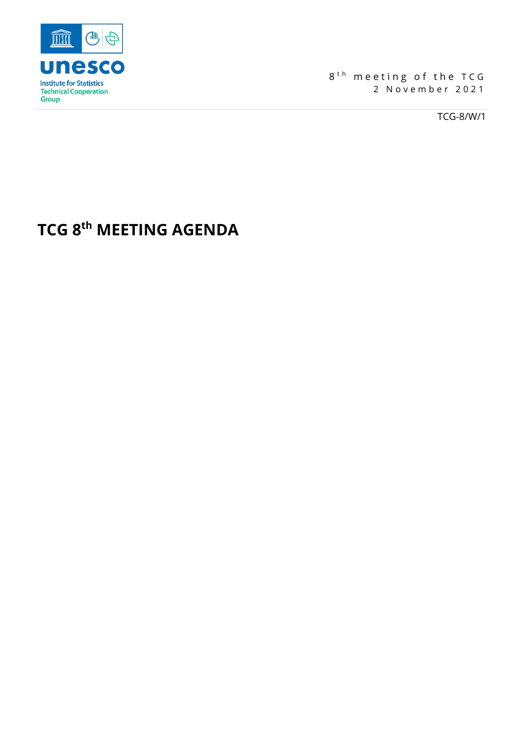

 $8<sup>th</sup>$  meeting of the TCG 2 November 2021

TCG-8/W/1

## **TCG 8th MEETING AGENDA**